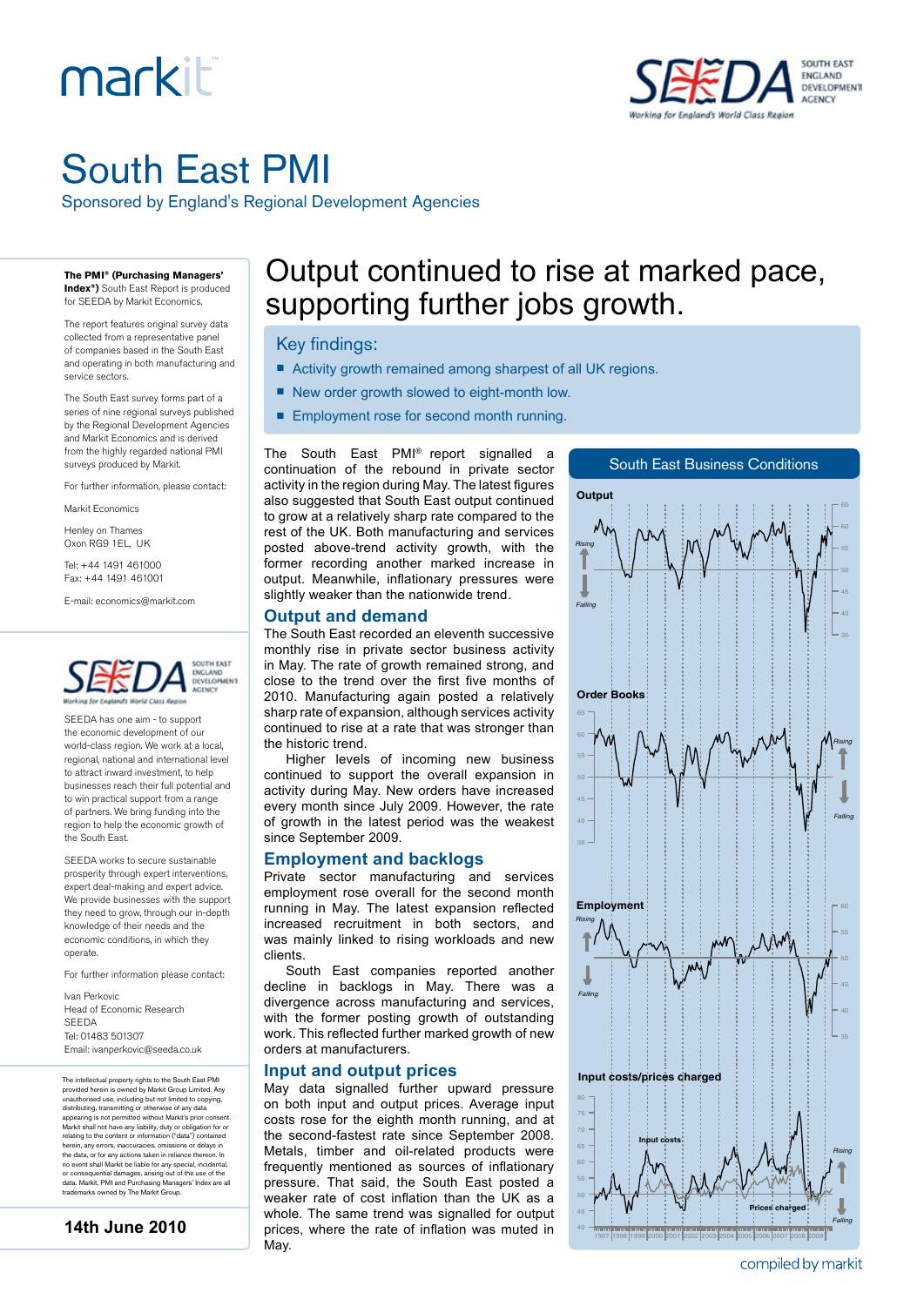# markiti



## South East PMI

Sponsored by England's Regional Development Agencies

**The PMI® (Purchasing Managers' Index®)** South East Report is produced

for SEEDA by Markit Economics.

The report features original survey data collected from a representative panel of companies based in the South East and operating in both manufacturing and service sectors.

The South East survey forms part of a series of nine regional surveys published by the Regional Development Agencies and Markit Economics and is derived from the highly regarded national PMI surveys produced by Markit.

For further information, please contact:

Markit Economics

Henley on Thames Oxon RG9 1EL, UK

Tel: +44 1491 461000 Fax: +44 1491 461001

E-mail: economics@markit.com



SEEDA has one aim - to support the economic development of our world-class region. We work at a local, regional, national and international level to attract inward investment, to help businesses reach their full potential and to win practical support from a range of partners. We bring funding into the region to help the economic growth of the South East.

SEEDA works to secure sustainable prosperity through expert interventions, expert deal-making and expert advice. We provide businesses with the support they need to grow, through our in-depth knowledge of their needs and the economic conditions, in which they operate.

For further information please contact:

Ivan Perkovic Head of Economic Research SEEDA Tel: 01483 501307 Email: ivanperkovic@seeda.co.uk

The intellectual property rights to the South East PMI provided herein is owned by Markit Group Limited. Any<br>unauthorised use, including but not limited to copying,<br>distributing, transmitting or otherwise of any data<br>appearing is not permitted without Markit's prior consent.<br>M herein, any errors, inaccuracies, omissions or delays in the data, or for any actions taken in reliance thereon. In no event shall Markit be liable for any special, incidental, or consequential damages, arising out of the use of the data. Markit, PMI and Purchasing Managers' Index are all trademarks owned by The Markit Group.

```
14th June 2010
```
### Output continued to rise at marked pace, supporting further jobs growth.

#### Key findings:

- Activity growth remained among sharpest of all UK regions.
- New order growth slowed to eight-month low.
- Employment rose for second month running.

The South East PMI® report signalled a continuation of the rebound in private sector activity in the region during May. The latest figures also suggested that South East output continued to grow at a relatively sharp rate compared to the rest of the UK. Both manufacturing and services posted above-trend activity growth, with the former recording another marked increase in output. Meanwhile, inflationary pressures were slightly weaker than the nationwide trend.

#### **Output and demand**

The South East recorded an eleventh successive monthly rise in private sector business activity in May. The rate of growth remained strong, and close to the trend over the first five months of 2010. Manufacturing again posted a relatively sharp rate of expansion, although services activity continued to rise at a rate that was stronger than the historic trend.

Higher levels of incoming new business continued to support the overall expansion in activity during May. New orders have increased every month since July 2009. However, the rate of growth in the latest period was the weakest since September 2009.

#### **Employment and backlogs**

Private sector manufacturing and services employment rose overall for the second month running in May. The latest expansion reflected increased recruitment in both sectors, and was mainly linked to rising workloads and new clients.

South East companies reported another decline in backlogs in May. There was a divergence across manufacturing and services, with the former posting growth of outstanding work. This reflected further marked growth of new orders at manufacturers.

#### **Input and output prices**

May data signalled further upward pressure on both input and output prices. Average input costs rose for the eighth month running, and at the second-fastest rate since September 2008. Metals, timber and oil-related products were frequently mentioned as sources of inflationary pressure. That said, the South East posted a weaker rate of cost inflation than the UK as a whole. The same trend was signalled for output prices, where the rate of inflation was muted in May.



compiled by markit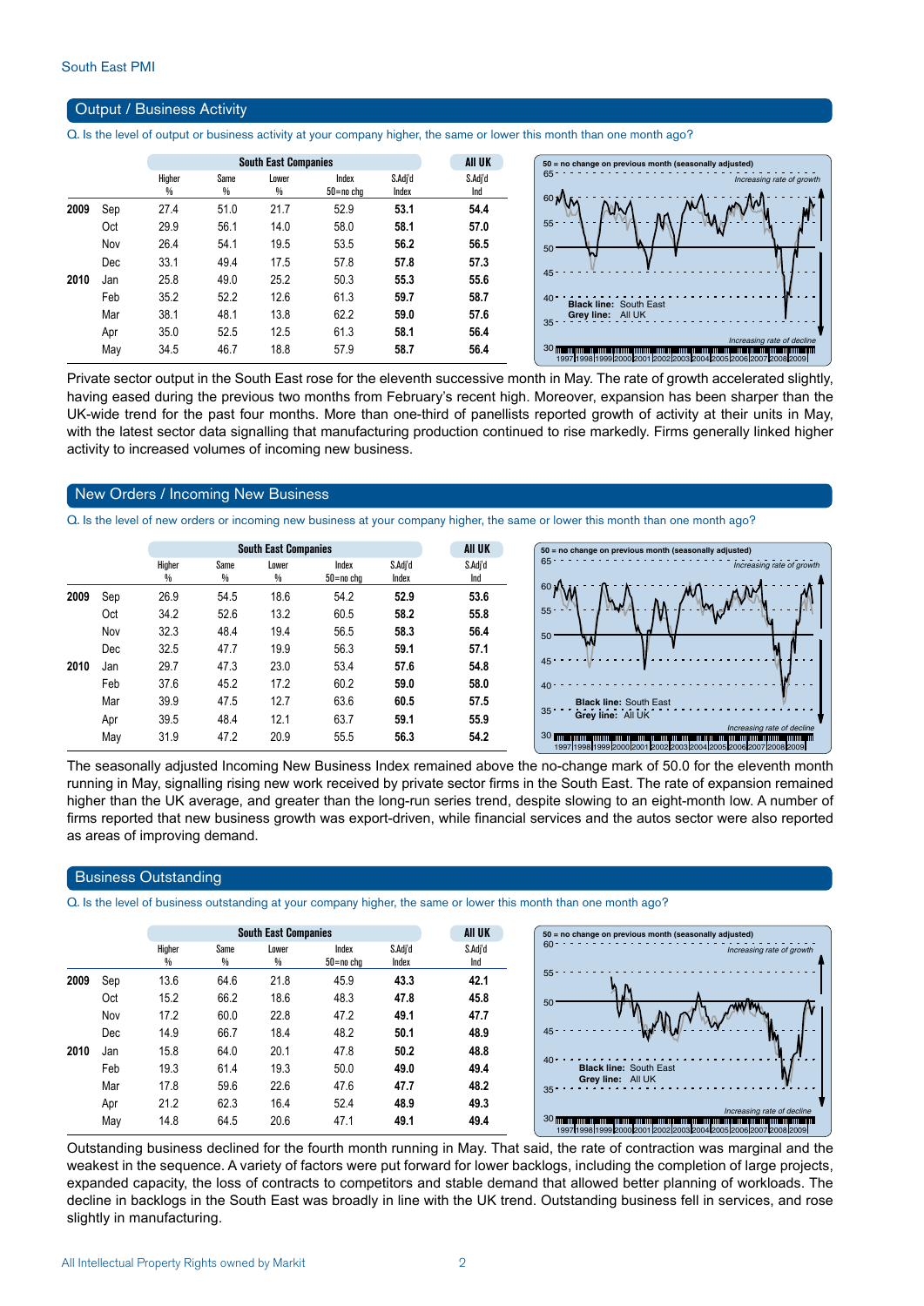#### Output / Business Activity

Q. Is the level of output or business activity at your company higher, the same or lower this month than one month ago?

|      |     |        |      | <b>South East Companies</b> |           |         | All UK  |
|------|-----|--------|------|-----------------------------|-----------|---------|---------|
|      |     | Higher | Same | Lower                       | Index     | S.Adj'd | S.Adj'd |
|      |     | %      | %    | %                           | 50=no chq | Index   | Ind     |
| 2009 | Sep | 27.4   | 51.0 | 21.7                        | 52.9      | 53.1    | 54.4    |
|      | Oct | 29.9   | 56.1 | 14.0                        | 58.0      | 58.1    | 57.0    |
|      | Nov | 26.4   | 54.1 | 19.5                        | 53.5      | 56.2    | 56.5    |
|      | Dec | 33.1   | 49.4 | 17.5                        | 57.8      | 57.8    | 57.3    |
| 2010 | Jan | 25.8   | 49.0 | 25.2                        | 50.3      | 55.3    | 55.6    |
|      | Feb | 35.2   | 52.2 | 12.6                        | 61.3      | 59.7    | 58.7    |
|      | Mar | 38.1   | 48.1 | 13.8                        | 62.2      | 59.0    | 57.6    |
|      | Apr | 35.0   | 52.5 | 12.5                        | 61.3      | 58.1    | 56.4    |
|      | May | 34.5   | 46.7 | 18.8                        | 57.9      | 58.7    | 56.4    |

Private sector output in the South East rose for the eleventh successive month in May. The rate of growth accelerated slightly, having eased during the previous two months from February's recent high. Moreover, expansion has been sharper than the UK-wide trend for the past four months. More than one-third of panellists reported growth of activity at their units in May, with the latest sector data signalling that manufacturing production continued to rise markedly. Firms generally linked higher activity to increased volumes of incoming new business.

#### New Orders / Incoming New Business

Q. Is the level of new orders or incoming new business at your company higher, the same or lower this month than one month ago?

|      |     |             |           | <b>South East Companies</b> |                    | <b>AII UK</b>    | $50 = no change on pre$ |                                            |
|------|-----|-------------|-----------|-----------------------------|--------------------|------------------|-------------------------|--------------------------------------------|
|      |     | Higher<br>% | Same<br>% | Lower<br>%                  | Index<br>50=no cha | S.Adj'd<br>Index | S.Adj'd<br>Ind          | $65 -$                                     |
| 2009 | Sep | 26.9        | 54.5      | 18.6                        | 54.2               | 52.9             | 53.6                    | 60 <sub>1</sub>                            |
|      | Oct | 34.2        | 52.6      | 13.2                        | 60.5               | 58.2             | 55.8                    | $55 -$<br>$\overline{\phantom{a}}$<br>. .  |
|      | Nov | 32.3        | 48.4      | 19.4                        | 56.5               | 58.3             | 56.4                    | 50                                         |
|      | Dec | 32.5        | 47.7      | 19.9                        | 56.3               | 59.1             | 57.1                    | W                                          |
| 2010 | Jan | 29.7        | 47.3      | 23.0                        | 53.4               | 57.6             | 54.8                    | 45                                         |
|      | Feb | 37.6        | 45.2      | 17.2                        | 60.2               | 59.0             | 58.0                    | 40 <sup>1</sup>                            |
|      | Mar | 39.9        | 47.5      | 12.7                        | 63.6               | 60.5             | 57.5                    | <b>Black line:</b><br>35                   |
|      | Apr | 39.5        | 48.4      | 12.1                        | 63.7               | 59.1             | 55.9                    | Grey line:                                 |
|      | May | 31.9        | 47.2      | 20.9                        | 55.5               | 56.3             | 54.2                    | <b>30 mm mm mm mm mm</b><br>19971998199902 |



The seasonally adjusted Incoming New Business Index remained above the no-change mark of 50.0 for the eleventh month running in May, signalling rising new work received by private sector firms in the South East. The rate of expansion remained higher than the UK average, and greater than the long-run series trend, despite slowing to an eight-month low. A number of firms reported that new business growth was export-driven, while financial services and the autos sector were also reported as areas of improving demand.

#### Business Outstanding

Q. Is the level of business outstanding at your company higher, the same or lower this month than one month ago?

|      |     |             |           | <b>South East Companies</b> |                    |                  | All UK         | $50$ = no change on previous month (seasonally adjusted)                                                                                                                                                                                              |
|------|-----|-------------|-----------|-----------------------------|--------------------|------------------|----------------|-------------------------------------------------------------------------------------------------------------------------------------------------------------------------------------------------------------------------------------------------------|
|      |     | Higher<br>₩ | Same<br>% | Lower<br>%                  | Index<br>50=no cha | S.Adi'd<br>Index | S.Adj'd<br>Ind | $60 -$<br>Increasing rate of growth                                                                                                                                                                                                                   |
| 2009 | Sep | 13.6        | 64.6      | 21.8                        | 45.9               | 43.3             | 42.1           | $55 -$                                                                                                                                                                                                                                                |
|      | Oct | 15.2        | 66.2      | 18.6                        | 48.3               | 47.8             | 45.8           | 50                                                                                                                                                                                                                                                    |
|      | Nov | 17.2        | 60.0      | 22.8                        | 47.2               | 49.1             | 47.7           |                                                                                                                                                                                                                                                       |
|      | Dec | 14.9        | 66.7      | 18.4                        | 48.2               | 50.1             | 48.9           | 45                                                                                                                                                                                                                                                    |
| 2010 | Jan | 15.8        | 64.0      | 20.1                        | 47.8               | 50.2             | 48.8           |                                                                                                                                                                                                                                                       |
|      | Feb | 19.3        | 61.4      | 19.3                        | 50.0               | 49.0             | 49.4           | 40 <sup>o</sup><br><b>Black line: South East</b>                                                                                                                                                                                                      |
|      | Mar | 17.8        | 59.6      | 22.6                        | 47.6               | 47.7             | 48.2           | Grey line: All UK<br>$35 -$                                                                                                                                                                                                                           |
|      | Apr | 21.2        | 62.3      | 16.4                        | 52.4               | 48.9             | 49.3           |                                                                                                                                                                                                                                                       |
|      | May | 14.8        | 64.5      | 20.6                        | 47.1               | 49.1             | 49.4           | Increasing rate of decline<br><b>30 mmmmmmmmmmmmmm</b><br><u> 1999 - An Den Anderson, Amerikaansk politiker († 1999), de Francisco († 1999), de Francisco († 1999), de Fran</u><br>1997 1998 1999 2000 2001 2002 2003 2004 2005 2006 2007 2008 2009 1 |

Outstanding business declined for the fourth month running in May. That said, the rate of contraction was marginal and the weakest in the sequence. A variety of factors were put forward for lower backlogs, including the completion of large projects, expanded capacity, the loss of contracts to competitors and stable demand that allowed better planning of workloads. The decline in backlogs in the South East was broadly in line with the UK trend. Outstanding business fell in services, and rose slightly in manufacturing.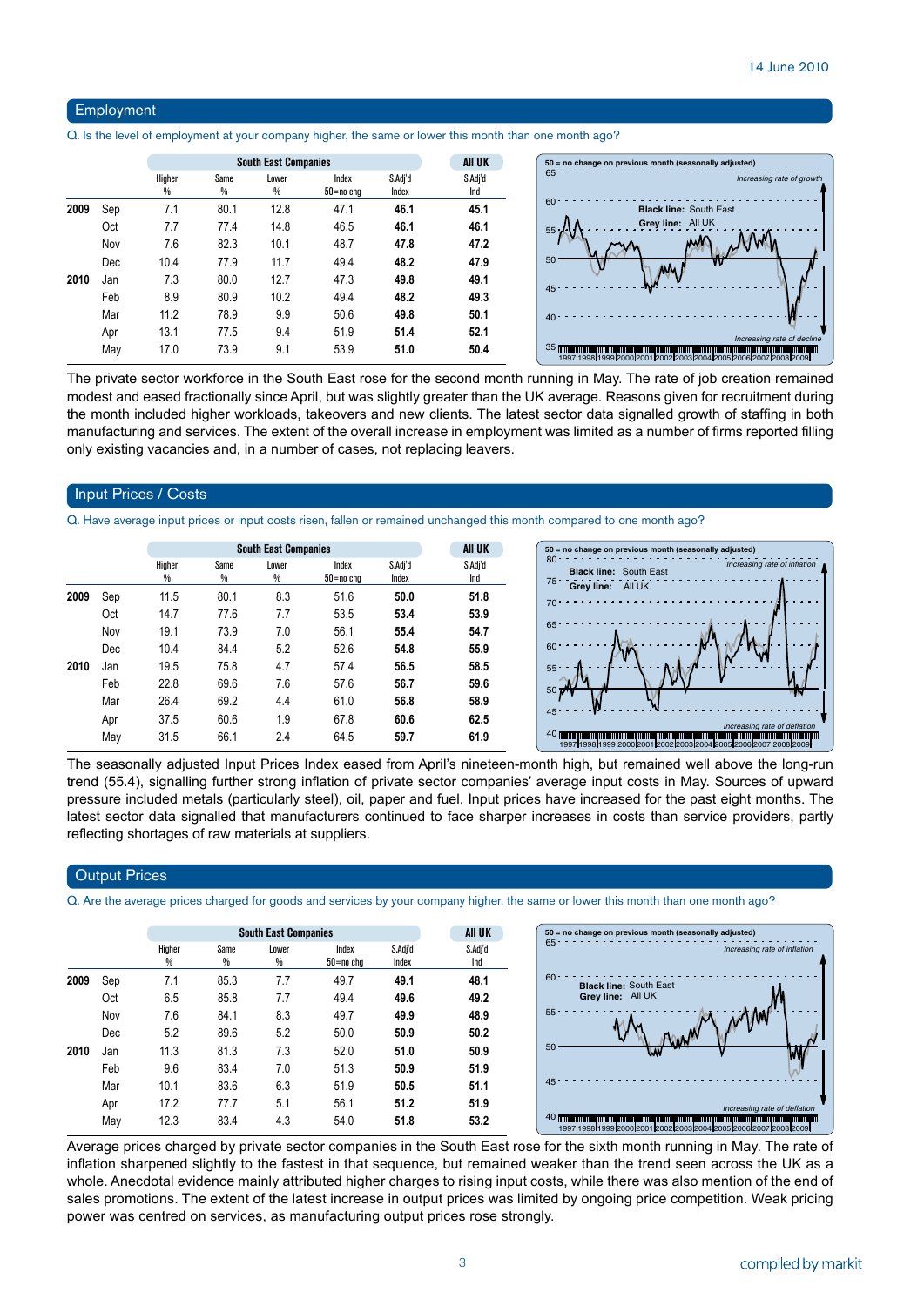#### Employment

Q. Is the level of employment at your company higher, the same or lower this month than one month ago?

|      |     |             | All UK    |            |                    |                  |                |
|------|-----|-------------|-----------|------------|--------------------|------------------|----------------|
|      |     | Higher<br>% | Same<br>% | Lower<br>₩ | Index<br>50=no chg | S.Adj'd<br>Index | S.Adj'd<br>Ind |
| 2009 | Sep | 7.1         | 80.1      | 12.8       | 47.1               | 46.1             | 45.1           |
|      | Oct | 7.7         | 77.4      | 14.8       | 46.5               | 46.1             | 46.1           |
|      | Nov | 7.6         | 82.3      | 10.1       | 48.7               | 47.8             | 47.2           |
|      | Dec | 10.4        | 77.9      | 11.7       | 49.4               | 48.2             | 47.9           |
| 2010 | Jan | 7.3         | 80.0      | 12.7       | 47.3               | 49.8             | 49.1           |
|      | Feb | 8.9         | 80.9      | 10.2       | 49.4               | 48.2             | 49.3           |
|      | Mar | 11.2        | 78.9      | 9.9        | 50.6               | 49.8             | 50.1           |
|      | Apr | 13.1        | 77.5      | 9.4        | 51.9               | 51.4             | 52.1           |
|      | May | 17.0        | 73.9      | 9.1        | 53.9               | 51.0             | 50.4           |

The private sector workforce in the South East rose for the second month running in May. The rate of job creation remained modest and eased fractionally since April, but was slightly greater than the UK average. Reasons given for recruitment during the month included higher workloads, takeovers and new clients. The latest sector data signalled growth of staffing in both manufacturing and services. The extent of the overall increase in employment was limited as a number of firms reported filling only existing vacancies and, in a number of cases, not replacing leavers.

#### Input Prices / Costs

Q. Have average input prices or input costs risen, fallen or remained unchanged this month compared to one month ago?

|      |     |             |           | <b>All UK</b> |                    |                  |                |
|------|-----|-------------|-----------|---------------|--------------------|------------------|----------------|
|      |     | Higher<br>% | Same<br>% | Lower<br>%    | Index<br>50=no cha | S.Adj'd<br>Index | S.Adj'd<br>Ind |
| 2009 | Sep | 11.5        | 80.1      | 8.3           | 51.6               | 50.0             | 51.8           |
|      | Oct | 14.7        | 77.6      | 7.7           | 53.5               | 53.4             | 53.9           |
|      | Nov | 19.1        | 73.9      | 7.0           | 56.1               | 55.4             | 54.7           |
|      | Dec | 10.4        | 84.4      | 5.2           | 52.6               | 54.8             | 55.9           |
| 2010 | Jan | 19.5        | 75.8      | 4.7           | 57.4               | 56.5             | 58.5           |
|      | Feb | 22.8        | 69.6      | 7.6           | 57.6               | 56.7             | 59.6           |
|      | Mar | 26.4        | 69.2      | 4.4           | 61.0               | 56.8             | 58.9           |
|      | Apr | 37.5        | 60.6      | 1.9           | 67.8               | 60.6             | 62.5           |
|      | May | 31.5        | 66.1      | 2.4           | 64.5               | 59.7             | 61.9           |

The seasonally adjusted Input Prices Index eased from April's nineteen-month high, but remained well above the long-run trend (55.4), signalling further strong inflation of private sector companies' average input costs in May. Sources of upward pressure included metals (particularly steel), oil, paper and fuel. Input prices have increased for the past eight months. The latest sector data signalled that manufacturers continued to face sharper increases in costs than service providers, partly reflecting shortages of raw materials at suppliers.

#### **Output Prices**

Q. Are the average prices charged for goods and services by your company higher, the same or lower this month than one month ago?

|      |     |             |           | AII UK     |                    |                  |                |
|------|-----|-------------|-----------|------------|--------------------|------------------|----------------|
|      |     | Higher<br>% | Same<br>% | Lower<br>% | Index<br>50=no cha | S.Adj'd<br>Index | S.Adj'd<br>Ind |
| 2009 | Sep | 7.1         | 85.3      | 7.7        | 49.7               | 49.1             | 48.1           |
|      | Oct | 6.5         | 85.8      | 7.7        | 49.4               | 49.6             | 49.2           |
|      | Nov | 7.6         | 84.1      | 8.3        | 49.7               | 49.9             | 48.9           |
|      | Dec | 5.2         | 89.6      | 5.2        | 50.0               | 50.9             | 50.2           |
| 2010 | Jan | 11.3        | 81.3      | 7.3        | 52.0               | 51.0             | 50.9           |
|      | Feb | 9.6         | 83.4      | 7.0        | 51.3               | 50.9             | 51.9           |
|      | Mar | 10.1        | 83.6      | 6.3        | 51.9               | 50.5             | 51.1           |
|      | Apr | 17.2        | 77.7      | 5.1        | 56.1               | 51.2             | 51.9           |
|      | May | 12.3        | 83.4      | 4.3        | 54.0               | 51.8             | 53.2           |

Average prices charged by private sector companies in the South East rose for the sixth month running in May. The rate of inflation sharpened slightly to the fastest in that sequence, but remained weaker than the trend seen across the UK as a whole. Anecdotal evidence mainly attributed higher charges to rising input costs, while there was also mention of the end of sales promotions. The extent of the latest increase in output prices was limited by ongoing price competition. Weak pricing power was centred on services, as manufacturing output prices rose strongly.